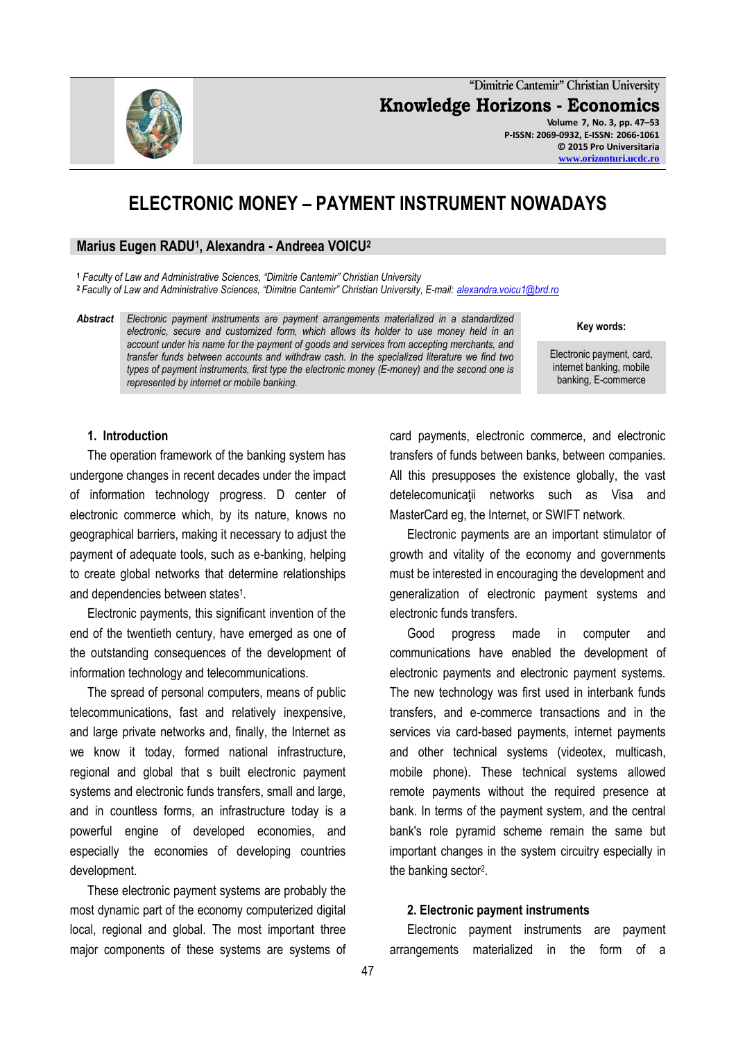

**"Dimitrie Cantemir" Christian University Knowledge Horizons - Economics Volume 7, No. 3, pp. 47–53 P-ISSN: 2069-0932, E-ISSN: 2066-1061 © 2015 Pro Universitaria [www.orizonturi.ucdc.ro](http://www.orizonturi.ucdc.ro/)**

# **ELECTRONIC MONEY – PAYMENT INSTRUMENT NOWADAYS**

#### **Marius Eugen RADU<sup>1</sup> , Alexandra - Andreea VOICU<sup>2</sup>**

**<sup>1</sup>** *Faculty of Law and Administrative Sciences, "Dimitrie Cantemir" Christian University* **<sup>2</sup>** *Faculty of Law and Administrative Sciences, "Dimitrie Cantemir" Christian University, E-mail: [alexandra.voicu1@brd.ro](mailto:alexandra.voicu1@brd.ro)*

*Abstract Electronic payment instruments are payment arrangements materialized in a standardized electronic, secure and customized form, which allows its holder to use money held in an account under his name for the payment of goods and services from accepting merchants, and transfer funds between accounts and withdraw cash. In the specialized literature we find two types of payment instruments, first type the electronic money (E-money) and the second one is represented by internet or mobile banking.*

**Key words:**

Electronic payment, card, internet banking, mobile banking, E-commerce

#### **1. Introduction**

The operation framework of the banking system has undergone changes in recent decades under the impact of information technology progress. D center of electronic commerce which, by its nature, knows no geographical barriers, making it necessary to adjust the payment of adequate tools, such as e-banking, helping to create global networks that determine relationships and dependencies between states<sup>1</sup>.

Electronic payments, this significant invention of the end of the twentieth century, have emerged as one of the outstanding consequences of the development of information technology and telecommunications.

The spread of personal computers, means of public telecommunications, fast and relatively inexpensive, and large private networks and, finally, the Internet as we know it today, formed national infrastructure, regional and global that s built electronic payment systems and electronic funds transfers, small and large, and in countless forms, an infrastructure today is a powerful engine of developed economies, and especially the economies of developing countries development.

These electronic payment systems are probably the most dynamic part of the economy computerized digital local, regional and global. The most important three major components of these systems are systems of card payments, electronic commerce, and electronic transfers of funds between banks, between companies. All this presupposes the existence globally, the vast detelecomunicatii networks such as Visa and MasterCard eg, the Internet, or SWIFT network.

Electronic payments are an important stimulator of growth and vitality of the economy and governments must be interested in encouraging the development and generalization of electronic payment systems and electronic funds transfers.

Good progress made in computer and communications have enabled the development of electronic payments and electronic payment systems. The new technology was first used in interbank funds transfers, and e-commerce transactions and in the services via card-based payments, internet payments and other technical systems (videotex, multicash, mobile phone). These technical systems allowed remote payments without the required presence at bank. In terms of the payment system, and the central bank's role pyramid scheme remain the same but important changes in the system circuitry especially in the banking sector<sup>2</sup>.

#### **2. Electronic payment instruments**

Electronic payment instruments are payment arrangements materialized in the form of a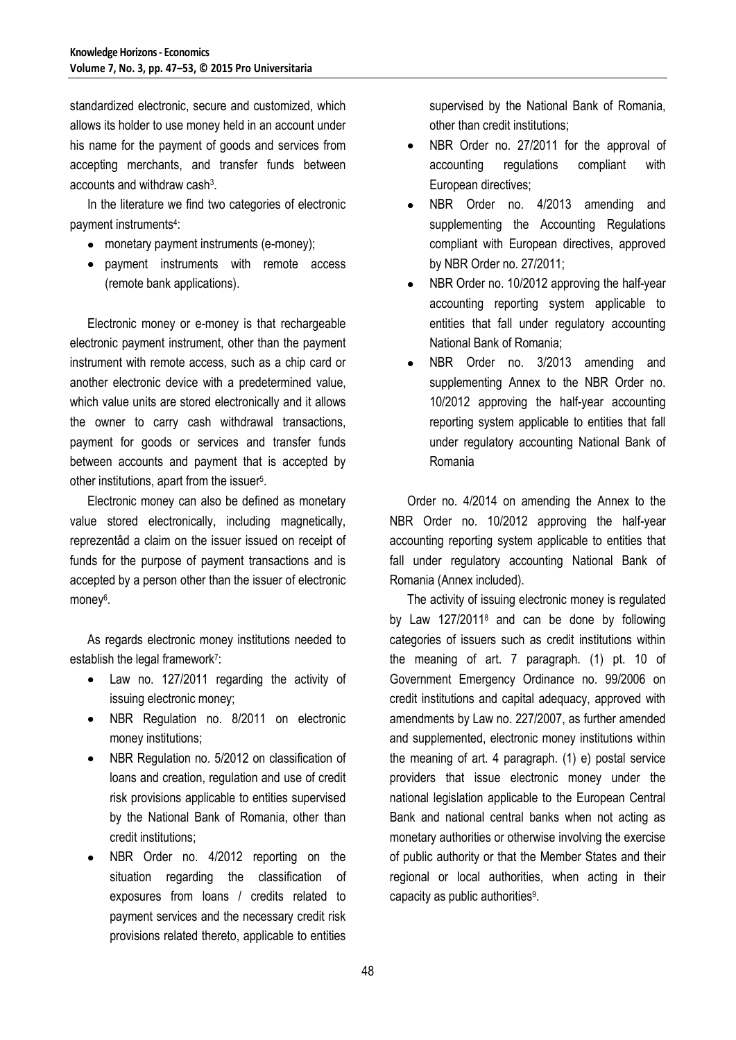standardized electronic, secure and customized, which allows its holder to use money held in an account under his name for the payment of goods and services from accepting merchants, and transfer funds between accounts and withdraw cash<sup>3</sup>.

In the literature we find two categories of electronic payment instruments<sup>4</sup>:

- monetary payment instruments (e-money);  $\bullet$
- payment instruments with remote access (remote bank applications).

Electronic money or e-money is that rechargeable electronic payment instrument, other than the payment instrument with remote access, such as a chip card or another electronic device with a predetermined value, which value units are stored electronically and it allows the owner to carry cash withdrawal transactions, payment for goods or services and transfer funds between accounts and payment that is accepted by other institutions, apart from the issuer<sup>5</sup>.

Electronic money can also be defined as monetary value stored electronically, including magnetically, reprezentâd a claim on the issuer issued on receipt of funds for the purpose of payment transactions and is accepted by a person other than the issuer of electronic money<sup>6</sup>.

As regards electronic money institutions needed to establish the legal framework<sup>7</sup>:

- Law no. 127/2011 regarding the activity of issuing electronic money;
- NBR Regulation no. 8/2011 on electronic  $\bullet$ money institutions;
- NBR Regulation no. 5/2012 on classification of loans and creation, regulation and use of credit risk provisions applicable to entities supervised by the National Bank of Romania, other than credit institutions;
- NBR Order no. 4/2012 reporting on the situation regarding the classification of exposures from loans / credits related to payment services and the necessary credit risk provisions related thereto, applicable to entities

supervised by the National Bank of Romania, other than credit institutions;

- NBR Order no. 27/2011 for the approval of  $\bullet$ accounting regulations compliant with European directives;
- NBR Order no. 4/2013 amending and  $\bullet$ supplementing the Accounting Regulations compliant with European directives, approved by NBR Order no. 27/2011;
- NBR Order no. 10/2012 approving the half-year  $\bullet$ accounting reporting system applicable to entities that fall under regulatory accounting National Bank of Romania;
- NBR Order no. 3/2013 amending and  $\bullet$ supplementing Annex to the NBR Order no. 10/2012 approving the half-year accounting reporting system applicable to entities that fall under regulatory accounting National Bank of Romania

Order no. 4/2014 on amending the Annex to the NBR Order no. 10/2012 approving the half-year accounting reporting system applicable to entities that fall under regulatory accounting National Bank of Romania (Annex included).

The activity of issuing electronic money is regulated by Law 127/2011<sup>8</sup> and can be done by following categories of issuers such as credit institutions within the meaning of art. 7 paragraph. (1) pt. 10 of Government Emergency Ordinance no. 99/2006 on credit institutions and capital adequacy, approved with amendments by Law no. 227/2007, as further amended and supplemented, electronic money institutions within the meaning of art. 4 paragraph. (1) e) postal service providers that issue electronic money under the national legislation applicable to the European Central Bank and national central banks when not acting as monetary authorities or otherwise involving the exercise of public authority or that the Member States and their regional or local authorities, when acting in their capacity as public authorities<sup>9</sup>.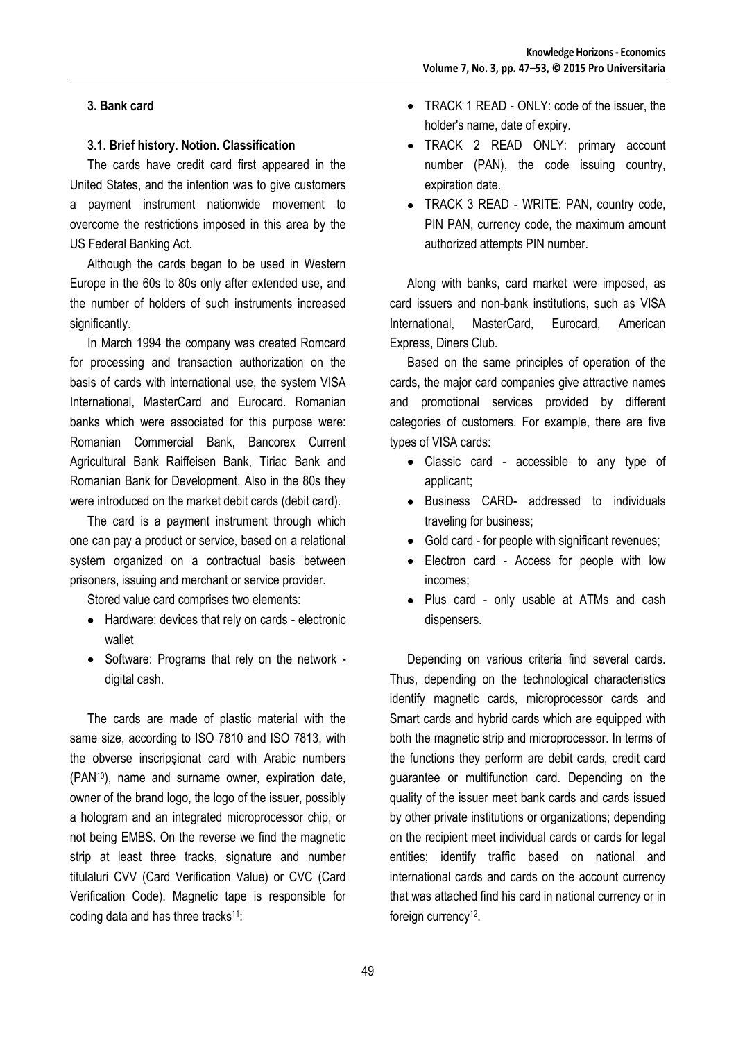# **3. Bank card**

#### **3.1. Brief history. Notion. Classification**

The cards have credit card first appeared in the United States, and the intention was to give customers a payment instrument nationwide movement to overcome the restrictions imposed in this area by the US Federal Banking Act.

Although the cards began to be used in Western Europe in the 60s to 80s only after extended use, and the number of holders of such instruments increased significantly.

In March 1994 the company was created Romcard for processing and transaction authorization on the basis of cards with international use, the system VISA International, MasterCard and Eurocard. Romanian banks which were associated for this purpose were: Romanian Commercial Bank, Bancorex Current Agricultural Bank Raiffeisen Bank, Tiriac Bank and Romanian Bank for Development. Also in the 80s they were introduced on the market debit cards (debit card).

The card is a payment instrument through which one can pay a product or service, based on a relational system organized on a contractual basis between prisoners, issuing and merchant or service provider.

Stored value card comprises two elements:

- Hardware: devices that rely on cards electronic wallet
- Software: Programs that rely on the network digital cash.

The cards are made of plastic material with the same size, according to ISO 7810 and ISO 7813, with the obverse inscripşionat card with Arabic numbers (PAN10), name and surname owner, expiration date, owner of the brand logo, the logo of the issuer, possibly a hologram and an integrated microprocessor chip, or not being EMBS. On the reverse we find the magnetic strip at least three tracks, signature and number titulaluri CVV (Card Verification Value) or CVC (Card Verification Code). Magnetic tape is responsible for coding data and has three tracks<sup>11</sup>:

- TRACK 1 READ ONLY: code of the issuer, the holder's name, date of expiry.
- TRACK 2 READ ONLY: primary account number (PAN), the code issuing country, expiration date.
- TRACK 3 READ WRITE: PAN, country code, PIN PAN, currency code, the maximum amount authorized attempts PIN number.

Along with banks, card market were imposed, as card issuers and non-bank institutions, such as VISA International, MasterCard, Eurocard, American Express, Diners Club.

Based on the same principles of operation of the cards, the major card companies give attractive names and promotional services provided by different categories of customers. For example, there are five types of VISA cards:

- Classic card accessible to any type of applicant;
- Business CARD- addressed to individuals traveling for business;
- Gold card for people with significant revenues;
- Electron card Access for people with low incomes;
- Plus card only usable at ATMs and cash dispensers.

Depending on various criteria find several cards. Thus, depending on the technological characteristics identify magnetic cards, microprocessor cards and Smart cards and hybrid cards which are equipped with both the magnetic strip and microprocessor. In terms of the functions they perform are debit cards, credit card guarantee or multifunction card. Depending on the quality of the issuer meet bank cards and cards issued by other private institutions or organizations; depending on the recipient meet individual cards or cards for legal entities; identify traffic based on national and international cards and cards on the account currency that was attached find his card in national currency or in foreign currency<sup>12</sup>.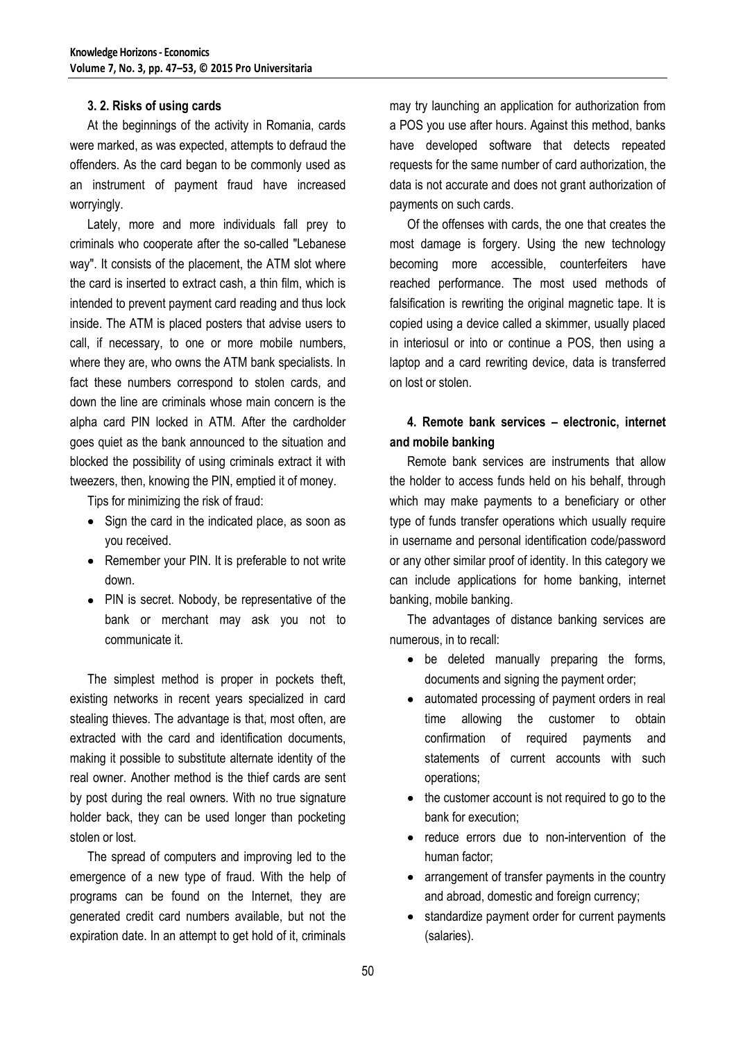#### **3. 2. Risks of using cards**

At the beginnings of the activity in Romania, cards were marked, as was expected, attempts to defraud the offenders. As the card began to be commonly used as an instrument of payment fraud have increased worryingly.

Lately, more and more individuals fall prey to criminals who cooperate after the so-called "Lebanese way". It consists of the placement, the ATM slot where the card is inserted to extract cash, a thin film, which is intended to prevent payment card reading and thus lock inside. The ATM is placed posters that advise users to call, if necessary, to one or more mobile numbers, where they are, who owns the ATM bank specialists. In fact these numbers correspond to stolen cards, and down the line are criminals whose main concern is the alpha card PIN locked in ATM. After the cardholder goes quiet as the bank announced to the situation and blocked the possibility of using criminals extract it with tweezers, then, knowing the PIN, emptied it of money.

Tips for minimizing the risk of fraud:

- Sign the card in the indicated place, as soon as you received.
- Remember your PIN. It is preferable to not write down.
- PIN is secret. Nobody, be representative of the bank or merchant may ask you not to communicate it.

The simplest method is proper in pockets theft, existing networks in recent years specialized in card stealing thieves. The advantage is that, most often, are extracted with the card and identification documents, making it possible to substitute alternate identity of the real owner. Another method is the thief cards are sent by post during the real owners. With no true signature holder back, they can be used longer than pocketing stolen or lost.

The spread of computers and improving led to the emergence of a new type of fraud. With the help of programs can be found on the Internet, they are generated credit card numbers available, but not the expiration date. In an attempt to get hold of it, criminals

may try launching an application for authorization from a POS you use after hours. Against this method, banks have developed software that detects repeated requests for the same number of card authorization, the data is not accurate and does not grant authorization of payments on such cards.

Of the offenses with cards, the one that creates the most damage is forgery. Using the new technology becoming more accessible, counterfeiters have reached performance. The most used methods of falsification is rewriting the original magnetic tape. It is copied using a device called a skimmer, usually placed in interiosul or into or continue a POS, then using a laptop and a card rewriting device, data is transferred on lost or stolen.

# **4. Remote bank services – electronic, internet and mobile banking**

Remote bank services are instruments that allow the holder to access funds held on his behalf, through which may make payments to a beneficiary or other type of funds transfer operations which usually require in username and personal identification code/password or any other similar proof of identity. In this category we can include applications for home banking, internet banking, mobile banking.

The advantages of distance banking services are numerous, in to recall:

- be deleted manually preparing the forms, documents and signing the payment order;
- automated processing of payment orders in real time allowing the customer to obtain confirmation of required payments and statements of current accounts with such operations;
- the customer account is not required to go to the bank for execution;
- reduce errors due to non-intervention of the human factor;
- arrangement of transfer payments in the country and abroad, domestic and foreign currency;
- standardize payment order for current payments (salaries).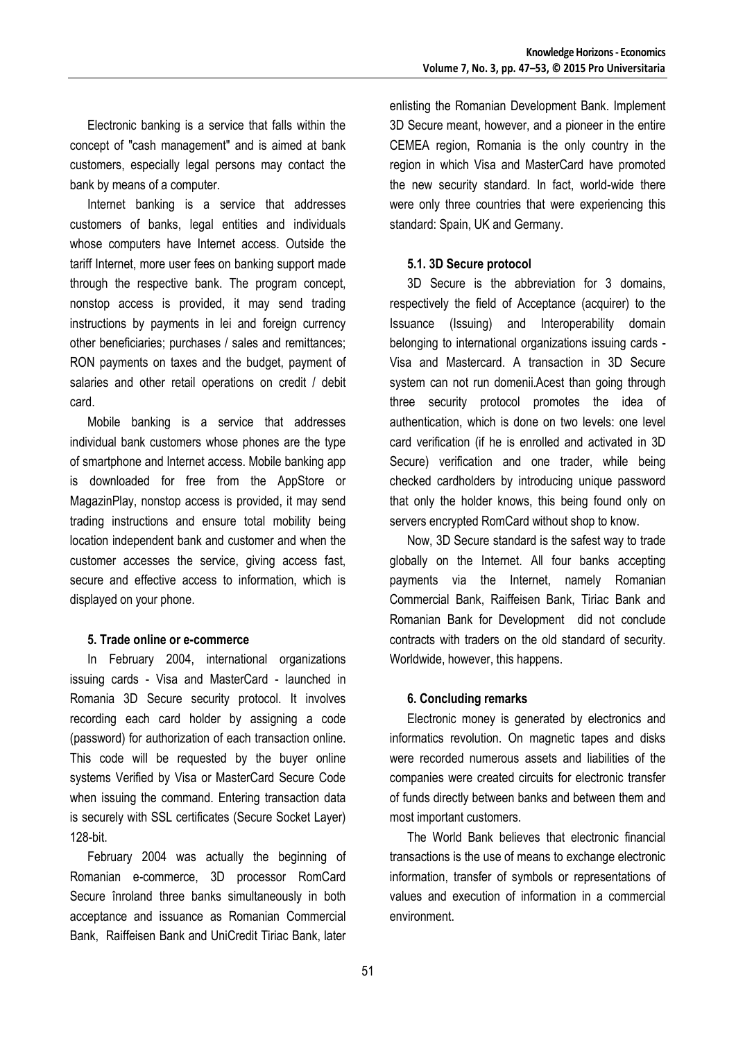Electronic banking is a service that falls within the concept of "cash management" and is aimed at bank customers, especially legal persons may contact the bank by means of a computer.

Internet banking is a service that addresses customers of banks, legal entities and individuals whose computers have Internet access. Outside the tariff Internet, more user fees on banking support made through the respective bank. The program concept, nonstop access is provided, it may send trading instructions by payments in lei and foreign currency other beneficiaries; purchases / sales and remittances; RON payments on taxes and the budget, payment of salaries and other retail operations on credit / debit card.

Mobile banking is a service that addresses individual bank customers whose phones are the type of smartphone and Internet access. Mobile banking app is downloaded for free from the AppStore or MagazinPlay, nonstop access is provided, it may send trading instructions and ensure total mobility being location independent bank and customer and when the customer accesses the service, giving access fast, secure and effective access to information, which is displayed on your phone.

#### **5. Trade online or e-commerce**

In February 2004, international organizations issuing cards - Visa and MasterCard - launched in Romania 3D Secure security protocol. It involves recording each card holder by assigning a code (password) for authorization of each transaction online. This code will be requested by the buyer online systems Verified by Visa or MasterCard Secure Code when issuing the command. Entering transaction data is securely with SSL certificates (Secure Socket Layer) 128-bit.

February 2004 was actually the beginning of Romanian e-commerce, 3D processor RomCard Secure înroland three banks simultaneously in both acceptance and issuance as Romanian Commercial Bank, Raiffeisen Bank and UniCredit Tiriac Bank, later

enlisting the Romanian Development Bank. Implement 3D Secure meant, however, and a pioneer in the entire CEMEA region, Romania is the only country in the region in which Visa and MasterCard have promoted the new security standard. In fact, world-wide there were only three countries that were experiencing this standard: Spain, UK and Germany.

## **5.1. 3D Secure protocol**

3D Secure is the abbreviation for 3 domains, respectively the field of Acceptance (acquirer) to the Issuance (Issuing) and Interoperability domain belonging to international organizations issuing cards - Visa and Mastercard. A transaction in 3D Secure system can not run domenii.Acest than going through three security protocol promotes the idea of authentication, which is done on two levels: one level card verification (if he is enrolled and activated in 3D Secure) verification and one trader, while being checked cardholders by introducing unique password that only the holder knows, this being found only on servers encrypted RomCard without shop to know.

Now, 3D Secure standard is the safest way to trade globally on the Internet. All four banks accepting payments via the Internet, namely Romanian Commercial Bank, Raiffeisen Bank, Tiriac Bank and Romanian Bank for Development did not conclude contracts with traders on the old standard of security. Worldwide, however, this happens.

# **6. Concluding remarks**

Electronic money is generated by electronics and informatics revolution. On magnetic tapes and disks were recorded numerous assets and liabilities of the companies were created circuits for electronic transfer of funds directly between banks and between them and most important customers.

The World Bank believes that electronic financial transactions is the use of means to exchange electronic information, transfer of symbols or representations of values and execution of information in a commercial environment.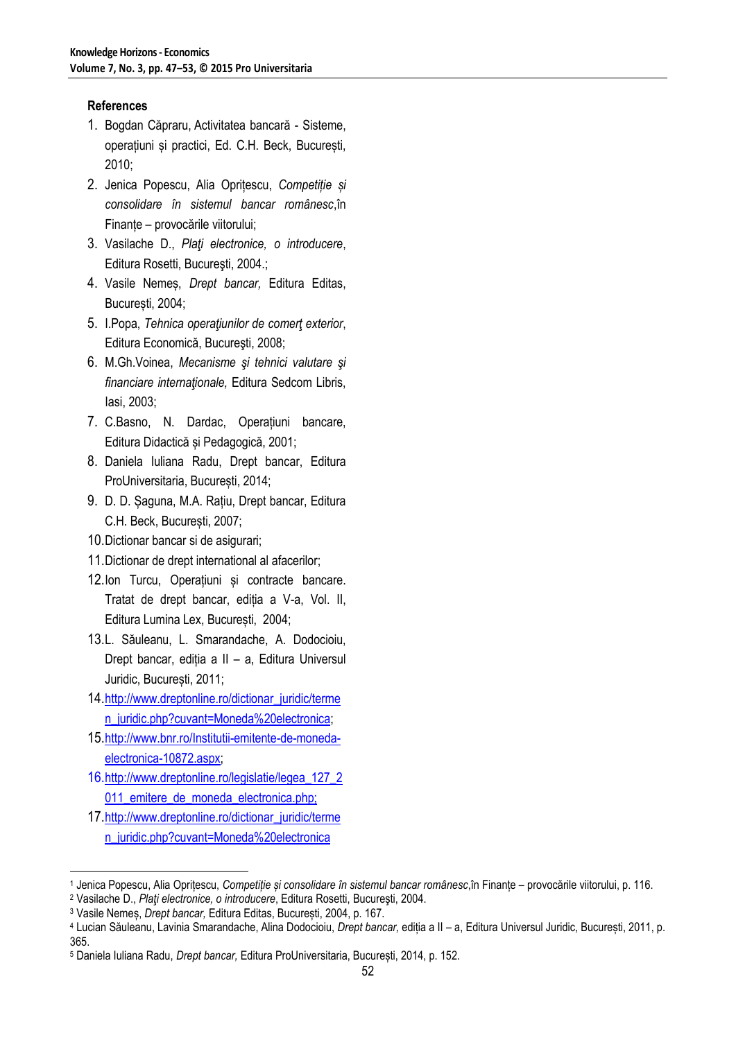# **References**

- 1. Bogdan Căpraru, Activitatea bancară Sisteme, operațiuni și practici, Ed. C.H. Beck, București, 2010;
- 2. Jenica Popescu, Alia Oprițescu, *Competiție și consolidare în sistemul bancar românesc*,în Finanțe – provocările viitorului;
- 3. Vasilache D., *Plaţi electronice, o introducere*, Editura Rosetti, Bucureşti, 2004.;
- 4. Vasile Nemeș, *Drept bancar,* Editura Editas, București, 2004;
- 5. I.Popa, *Tehnica operaţiunilor de comerţ exterior*, Editura Economică, Bucureşti, 2008;
- 6. M.Gh.Voinea, *Mecanisme şi tehnici valutare şi financiare internaţionale,* Editura Sedcom Libris, Iasi, 2003;
- 7. C.Basno, N. Dardac, Operațiuni bancare, Editura Didactică și Pedagogică, 2001;
- 8. Daniela Iuliana Radu, Drept bancar, Editura ProUniversitaria, București, 2014;
- 9. D. D. Șaguna, M.A. Rațiu, Drept bancar, Editura C.H. Beck, București, 2007;
- 10.Dictionar bancar si de asigurari;
- 11.Dictionar de drept international al afacerilor;
- 12.Ion Turcu, Operațiuni și contracte bancare. Tratat de drept bancar, ediția a V-a, Vol. II, Editura Lumina Lex, București, 2004;
- 13.L. Săuleanu, L. Smarandache, A. Dodocioiu, Drept bancar, ediția a II – a, Editura Universul Juridic, București, 2011;
- 14.[http://www.dreptonline.ro/dictionar\\_juridic/terme](http://www.dreptonline.ro/dictionar_juridic/termen_juridic.php?cuvant=Moneda%20electronica) [n\\_juridic.php?cuvant=Moneda%20electronica;](http://www.dreptonline.ro/dictionar_juridic/termen_juridic.php?cuvant=Moneda%20electronica)
- 15.[http://www.bnr.ro/Institutii-emitente-de-moneda](http://www.bnr.ro/Institutii-emitente-de-moneda-electronica-10872.aspx)[electronica-10872.aspx;](http://www.bnr.ro/Institutii-emitente-de-moneda-electronica-10872.aspx)
- 16.[http://www.dreptonline.ro/legislatie/legea\\_127\\_2](http://www.dreptonline.ro/legislatie/legea_127_2011_emitere_de_moneda_electronica.php) 011 emitere de moneda electronica.php;
- 17.[http://www.dreptonline.ro/dictionar\\_juridic/terme](http://www.dreptonline.ro/dictionar_juridic/termen_juridic.php?cuvant=Moneda%20electronica) [n\\_juridic.php?cuvant=Moneda%20electronica](http://www.dreptonline.ro/dictionar_juridic/termen_juridic.php?cuvant=Moneda%20electronica)

1

<sup>1</sup> Jenica Popescu, Alia Oprițescu, *Competiție și consolidare în sistemul bancar românesc*,în Finanțe – provocările viitorului, p. 116.

<sup>2</sup> Vasilache D., *Plaţi electronice, o introducere*, Editura Rosetti, Bucureşti, 2004.

<sup>3</sup> Vasile Nemeș, *Drept bancar,* Editura Editas, București, 2004, p. 167.

<sup>4</sup> Lucian Săuleanu, Lavinia Smarandache, Alina Dodocioiu, *Drept bancar,* ediția a II – a, Editura Universul Juridic, București, 2011, p. 365.

<sup>5</sup> Daniela Iuliana Radu, *Drept bancar,* Editura ProUniversitaria, București, 2014, p. 152.